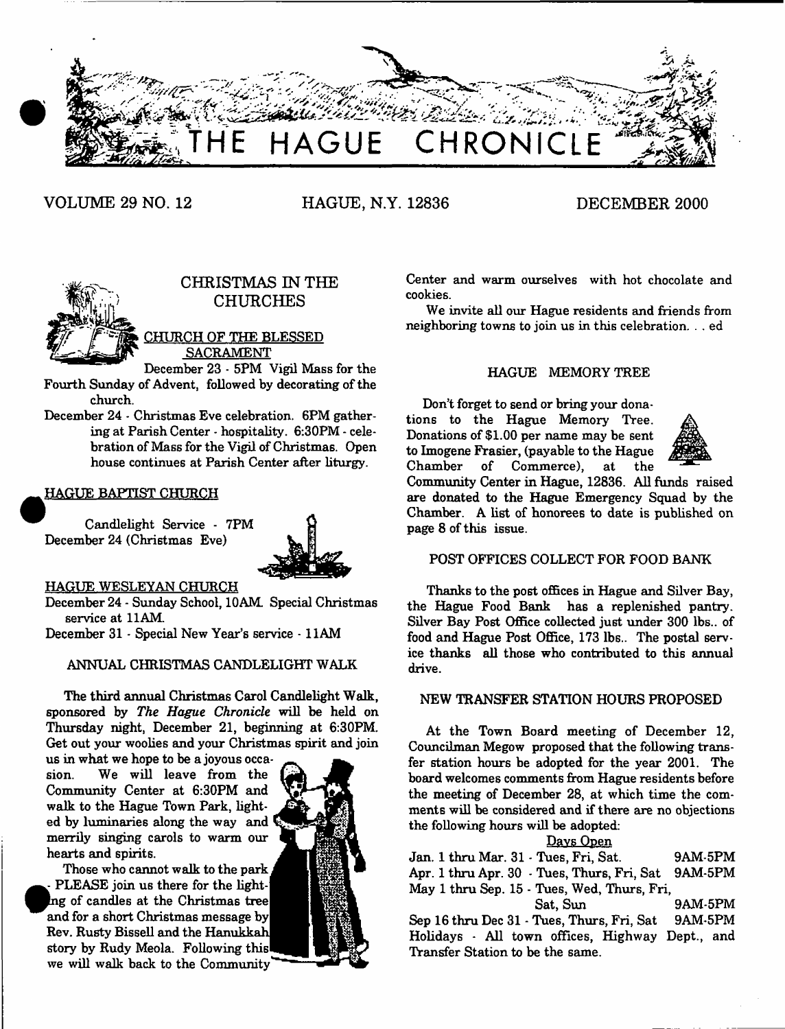

**VOLUME 29 NO. 12 HAGUE, N.Y. 12836 DECEMBER 2000**



# **CHRISTMAS IN THE CHURCHES**

CHURCH OF THE BLESSED SACRAMENT

December 23 - 5PM Vigil Mass for the Fourth Sunday of Advent, followed by decorating of the church.

December 24 - Christmas Eve celebration. 6PM gathering at Parish Center - hospitality. 6:30PM - celebration of Mass for the Vigil of Christmas. Open house continues at Parish Center after liturgy.

# HAGUE BAPTIST CHURCH

Candlelight Service - 7PM December 24 (Christmas Eve)



#### HAGUE WESLEYAN CHURCH

December 24 - Sunday School, 10AM. Special Christmas service at 11AM.

December 31 - Special New Year's service -1 1AM

### ANNUAL CHRISTMAS CANDLELIGHT WALK

The third annual Christmas Carol Candlelight Walk, sponsored by *The Hague Chronicle* will be held on Thursday night, December 21, beginning at 6:30PM. Get out your woolies and your Christmas spirit and join

us in what we hope to be a joyous occasion. We will leave from the Community Center at 6:30PM and walk to the Hague Town Park, lighted by luminaries along the way and merrily singing carols to warm our hearts and spirits.

**• <** Those who cannot walk to the park PLEASE join us there for the lightg of candles at the Christmas tree| and for a short Christmas message Rev. Rusty Bissell and the Ham story by Rudy Meola. Following we will walk back to the Community'



Center and warm ourselves with hot chocolate and cookies.

We invite all our Hague residents and friends from neighboring towns to join us in this celebration. . . ed

# HAGUE MEMORY TREE

Don't forget to send or bring your donations to the Hague Memory Tree. Donations of \$1.00 per name may be sent to Imogens Frasier, (payable to the Hague Chamber of Commerce), at the



Community Center in Hague, 12836. All funds raised are donated to the Hague Emergency Squad by the Chamber. A list of honorees to date is published on page 8 of this issue.

### POST OFFICES COLLECT FOR FOOD BANK

Thanks to the post offices in Hague and Silver Bay, the Hague Food Bank has a replenished pantry. Silver Bay Post Office collected just under 300 lbs., of food and Hague Post Office, 173 lbs.. The postal service thanks all those who contributed to this annual drive.

#### NEW TRANSFER STATION HOURS PROPOSED

At the Town Board meeting of December 12, Councilman Megow proposed that the following transfer station hours be adopted for the year 2001. The board welcomes comments from Hague residents before the meeting of December 28, at which time the comments will be considered and if there are no objections the following hours will be adopted:

### Davs Open

| Jan. 1 thru Mar. 31 - Tues, Fri, Sat.           | 9AM-5PM        |
|-------------------------------------------------|----------------|
| Apr. 1 thru Apr. 30 - Tues, Thurs, Fri, Sat     | 9AM-5PM        |
| May 1 thru Sep. 15 - Tues, Wed, Thurs, Fri,     |                |
| Sat. Sun                                        | <b>9AM-5PM</b> |
| Sep 16 thru Dec 31 - Tues, Thurs, Fri, Sat      | 9AM-5PM        |
| Holidays - All town offices, Highway Dept., and |                |
| Transfer Station to be the same.                |                |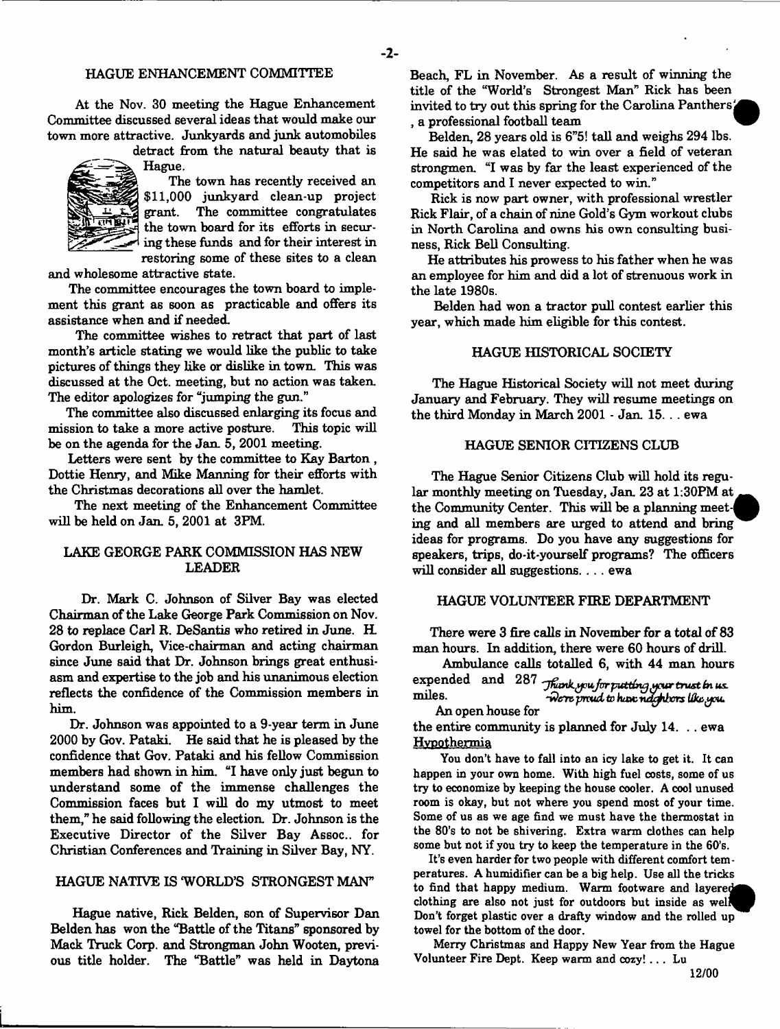#### HAGUE ENHANCEMENT COMMITTEE

At the Nov. 30 meeting the Hague Enhancement Committee discussed several ideas that would make our town more attractive. Junkyards and junk automobiles

detract from the natural beauty that is Hague.



The town has recently received an \$11,000 junkyard clean-up project grant. The committee congratulates the town board for its efforts in securing these funds and for their interest in restoring some of these sites to a clean

 $-2-$ 

and wholesome attractive state.

The **committee** encourages the town board to implement this grant as soon as practicable and offers its assistance when and if needed.

The committee wishes to retract that part of last month's article stating we would like the public to take pictures of things they like or dislike in town. This was discussed at the Oct. meeting, but no action was taken. The editor apologizes for "jumping the gun."

The committee also discussed enlarging its focus and mission to take a more active posture. This topic will be on the agenda for the Jan. 5, 2001 meeting.

Letters were sent by the committee to Kay Barton , Dottie Henry, and Mike Manning for their efforts with the Christmas decorations all over the hamlet.

The next meeting of the Enhancement Committee will be held on Jan. 5, 2001 at 3FM.

# LAKE GEORGE PARK COMMISSION HAS NEW LEADER

Dr. Mark C. Johnson of Silver Bay was elected Chairman of the Lake George Park Commission on Nov. 28 to replace Carl R. DeSantis who retired in June. H. Gordon Burleigh, Vice-chairman and acting chairman since June said that Dr. Johnson brings great enthusiasm and expertise to the job and his unanimous election reflects the confidence of the Commission members in him.

Dr. Johnson was appointed to a 9-year term in June 2000 by Gov. Pataki. He said that he is pleased by the confidence that Gov. Pataki and his fellow Commission members had shown in him. "I have only just begun to understand some of the immense challenges the Commission faces but I will do my utmost to meet them," he said following the election. Dr. Johnson is the Executive Director of the Silver Bay Assoc., for Christian Conferences and Training in Silver Bay, NY.

#### HAGUE NATIVE IS WORLD'S STRONGEST MAN"

Hague native, Rick Belden, son of Supervisor Dan Belden has won the "Battle of the Titans" sponsored by Mack Truck Corp. and Strongman John Wooten, previous title holder. The "Battle" was held in Daytona Beach, FL in November. As a result of winning the title of the "World's Strongest Man" Rick has been invited to try out this spring for the Carolina Panthersi , a professional football team *'*

Belden, 28 years old is 6"5! tall and weighs 294 lbs. He said he was elated to win over a field of veteran strongmen. "I was by far the least experienced of the competitors and I never expected to win."

Rick is now part owner, with professional wrestler Rick Flair, of a chain of nine Gold's Gym workout clubs in North Carolina and owns his own consulting business, Rick Bell Consulting.

He attributes his prowess to his father when he was an employee for him and did a lot of strenuous work in the late 1980s.

Belden had won a tractor pull contest earlier this year, which made him eligible for this contest.

#### HAGUE HISTORICAL SOCIETY

The Hague Historical Society will not meet during January and February. They will resume meetings on the third Monday in March 2001 - Jan. 15. .. ewa

#### HAGUE SENIOR CITIZENS CLUB

The Hague Senior Citizens Club will hold its regular monthly meeting on Tuesday, Jan. 23 at 1:30PM at the Community Center. This will be a planning meet-| ing and all members are urged to attend and bring ideas for programs. Do you have any suggestions for speakers, trips, do-it-yourself programs? The officers will consider all suggestions. . . . ewa

#### HAGUE VOLUNTEER FIRE DEPARTMENT

There were 3 fire calls in November for a total of 83 man hours. In addition, there were 60 hours of drill.

Ambulance calls totalled 6, with 44 man hours expended and 287 Thunk you for putting your trust in us

miles. *Were proud to have neighbors like, you.* An open house for

the entire community is planned for July 14. .. ewa Hypothermia

You don't have to fall into an icy lake to get it. It can happen in your own home. With high fuel costs, some of us try to economize by keeping the house cooler. A cool unused room is okay, but not where you spend most of your time. Some of us as we age find we must have the thermostat in the 80's to not be shivering. Extra warm clothes can help some but not if you try to keep the temperature in the 60's.

It's even harder for two people with different comfort temperatures. A humidifier can be a big help. Use all the tricks to find that happy medium. Warm footware and layere clothing are also not just for outdoors but inside as wel Don't forget plastic over a drafty window and the rolled up towel for the bottom of the door.

Merry Christmas and Happy New Year from the Hague Volunteer Fire Dept. Keep warm and cozy! .. . Lu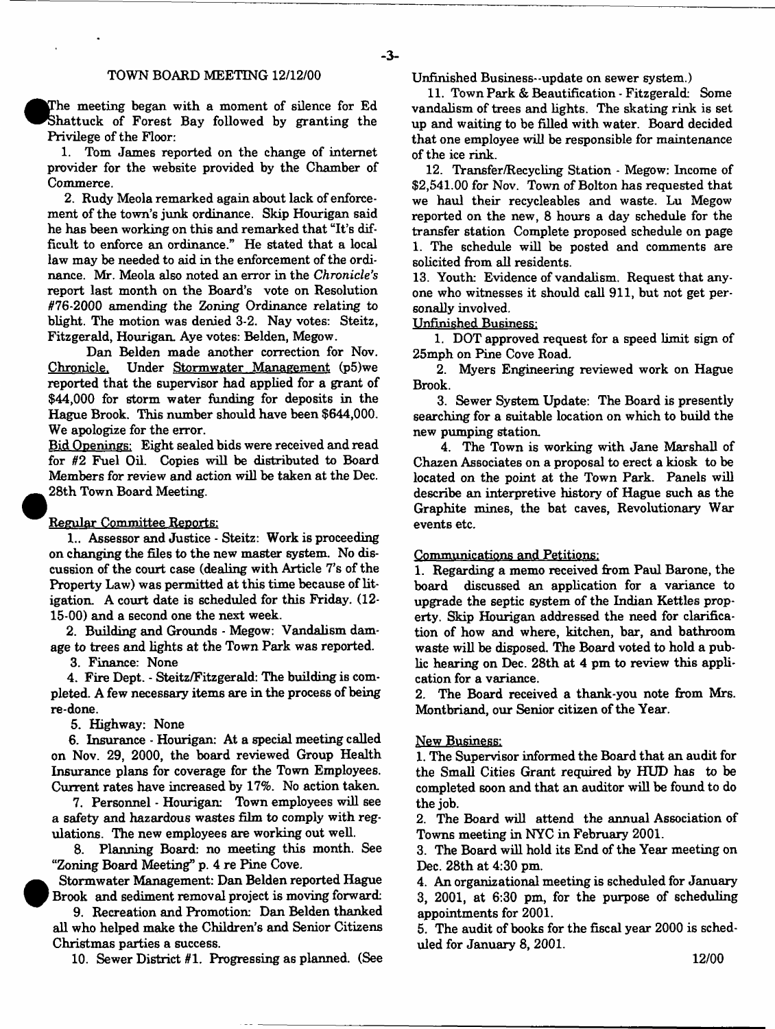#### TOWN BOARD MEETING 12/12/00

The meeting began with a moment of silence for Ed Shattuck of Forest Bay followed by granting the Privilege of the Floor:

1. Tom James reported on the change of internet provider for the website provided by the Chamber of Commerce.

2. Rudy Meola remarked again about lack of enforcement of the town's junk ordinance. Skip Hourigan said he has been working on this and remarked that "It's difficult to enforce an ordinance." He stated that a local law may be needed to aid in the enforcement of the ordinance. Mr. Meola also noted an error in the *Chronicle's* report last month on the Board's vote on Resolution #76-2000 amending the Zoning Ordinance relating to blight. The motion was denied 3-2. Nay votes: Steitz, Fitzgerald, Hourigan. Aye votes: Belden, Megow.

Dan Belden made another correction for Nov. Chronicle. Under Stormwater Management (p5)we reported that the supervisor had applied for a grant of \$44,000 for storm water funding for deposits in the Hague Brook. This number should have been \$644,000. We apologize for the error.

Bid Openings: Eight sealed bids were received and read for #2 Fuel Oil. Copies will be distributed to Board Members for review and action will be taken at the Dec. 28th Town Board Meeting.

#### Regular Committee Reports:

1.. Assessor and Justice - Steitz: Work is proceeding on changing the files to the new master system. No discussion of the court case (dealing with Article 7's of the Property Law) was permitted at this time because of litigation. A court date is scheduled for this Friday. (12- 15-00) and a second one the next week.

2. Building and Grounds - Megow: Vandalism damage to trees and lights at the Town Park was reported.

3. Finance: None

4. Fire Dept. - Steitz/Fitzgerald: The building is completed. A few necessary items are in the process of being re-done.

5. Highway: None

 $\bullet$ 

6. Insurance - Hourigan: At a special meeting called on Nov. 29, 2000, the board reviewed Group Health Insurance plans for coverage for the Town Employees. Current rates have increased by 17%. No action taken.

7. Personnel - Hourigan: Town employees will see a safety and hazardous wastes film to comply with regulations. The new employees are working out well.

8. Planning Board: no meeting this month. See "Zoning Board Meeting" p. 4 re Pine Cove.

 Stormwater Management: Dan Belden reported Hague Brook and sediment removal project is moving forward

9. Recreation and Promotion: Dan Belden thanked all who helped make the Children's and Senior Citizens Christmas parties a success.

10. Sewer District #1. Progressing as planned. (See

Unfinished Business--update on sewer system.)

11. Town Park & Beautification - Fitzgerald: Some vandalism of trees and lights. The skating rink is set up and waiting to be filled with water. Board decided that one employee will be responsible for maintenance of the ice rink.

12. Transfer/Recycling Station - Megow: Income of \$2,541.00 for Nov. Town of Bolton has requested that we haul their recycleables and waste. Lu Megow reported on the new, 8 hours a day schedule for the transfer station Complete proposed schedule on page 1. The schedule will be posted and comments are solicited from all residents.

13. Youth: Evidence of vandalism. Request that anyone who witnesses it should call 911, but not get personally involved.

**U nfinished Business:**

1. DOT approved request for a speed limit sign of 25mph on Pine Cove Road.

2. Myers Engineering reviewed work on Hague Brook.

3. Sewer System Update: The Board is presently searching for a suitable location on which to build the new pumping station.

4. The Town is working with Jane Marshall of Chazen Associates on a proposal to erect a kiosk to be located on the point at the Town Park. Panels will describe an interpretive history of Hague such as the Graphite mines, the bat caves, Revolutionary War events etc.

#### Communications and Petitions:

1. Regarding a memo received from Paul Barone, the board discussed an application for a variance to upgrade the septic system of the Indian Kettles property. Skip Hourigan addressed the need for clarification of how and where, kitchen, bar, and bathroom waste will be disposed. The Board voted to hold a public hearing on Dec. 28th at 4 pm to review this application for a variance.

2. The Board received a thank-you note from Mrs. Montbriand, our Senior citizen of the Year.

#### New Business:

1. The Supervisor informed the Board that an audit for the Small Cities Grant required by HUD has to be completed soon and that an auditor will be found to do the job.

2. The Board will attend the annual Association of Towns meeting in NYC in February 2001.

3. The Board will hold its End of the Year meeting on Dec. 28th at 4:30 pm.

4. An organizational meeting is scheduled for January 3, 2001, at 6:30 pm, for the purpose of scheduling appointments for 2001.

5. The audit of books for the fiscal year 2000 is scheduled for January 8, 2001.

**12/00**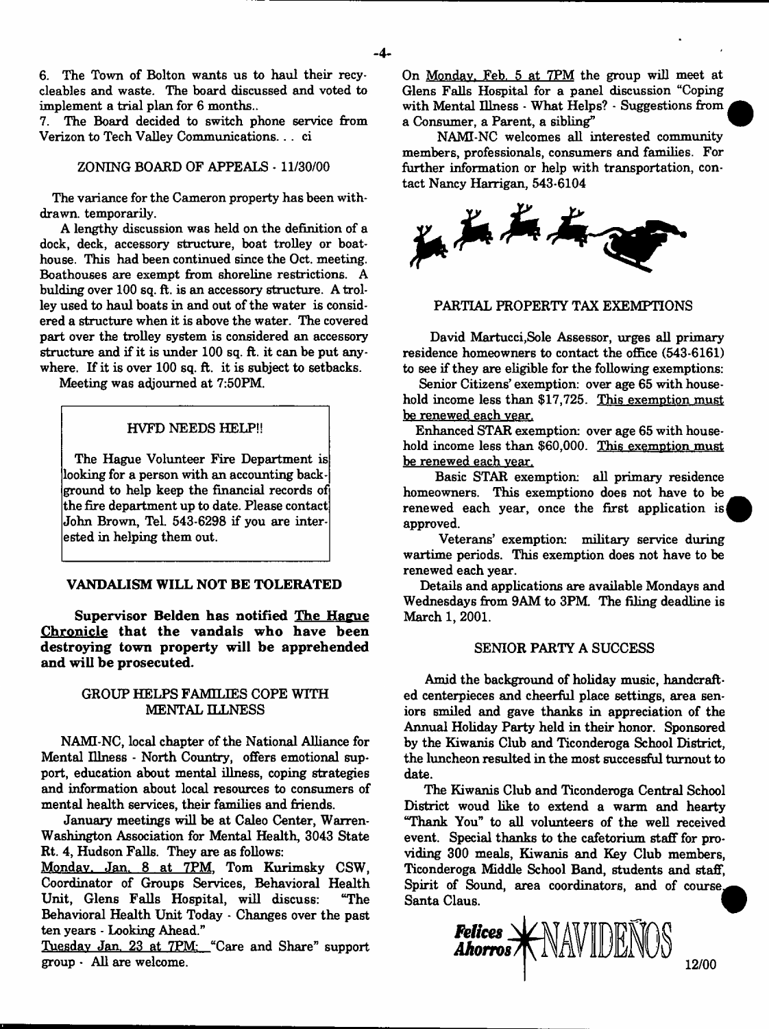6. The Town of Bolton wants us to haul their recycleables and waste. The board discussed and voted to implement a trial plan for 6 months..

7. The Board decided to switch phone service from Verizon to Tech Valley Communications. . . ci

# ZONING BOARD OF APPEALS - 11/30/00

The variance for the Cameron property has been withdrawn. temporarily.

A lengthy discussion was held on the definition of a dock, deck, accessory structure, boat trolley or boathouse. This had been continued since the Oct. meeting. Boathouses are exempt from shoreline restrictions. A bulding over 100 sq. ft. is an accessory structure. A trolley used to haul boats in and out of the water is considered a structure when it is above the water. The covered part over the trolley system is considered an accessory structure and if it is under 100 sq. ft. it can be put anywhere. If it is over 100 sq. ft. it is subject to setbacks.

Meeting was adjourned at 7:50PM.

#### HVFD NEEDS HELP!!

The Hague Volunteer Fire Department is looking for a person with an accounting background to help keep the financial records of the fire department up to date. Please contact John Brown, Tel. 543-6298 if you are interested in helping them out.

# **VANDALISM WILL NOT BE TOLERATED**

**Supervisor Belden has notified The Hague Chronicle that the vandals who have been destroying town property will be apprehended and will be prosecuted.**

# GROUP HELPS FAMILIES COPE WITH MENTAL ILLNESS

NAMI-NC, local chapter of the National Alliance for Mental Illness - North Country, offers emotional support, education about mental illness, coping strategies and information about local resources to consumers of mental health services, their families and friends.

January meetings will be at Caleo Center, Warren-Washington Association for Mental Health, 3043 State Rt. 4, Hudson Falls. They are as follows:

Monday. Jan. 8 at 7PM. Tom Kurimsky CSW, Coordinator of Groups Services, Behavioral Health Unit, Glens Falls Hospital, will discuss: "The Behavioral Health Unit Today - Changes over the past ten years - Looking Ahead."

Tuesday Jan. 23 at 7PM: "Care and Share" support group - All are welcome.

On Monday. Feb. 5 at 7PM the group will meet at Glens Falls Hospital for a panel discussion "Coping with Mental Illness - What Helps? - Suggestions from a Consumer, a Parent, a sibling"

NAMI-NC welcomes all interested community members, professionals, consumers and families. For further information or help with transportation, contact Nancy Harrigan, 543-6104



# PARTIAL PROPERTY TAX EXEMPTIONS

David Martucci,Sole Assessor, urges all primary residence homeowners to contact the office (543-6161) to see if they are eligible for the following exemptions:

Senior Citizens' exemption: over age 65 with household income less than \$17,725. This exemption must be renewed each year.

Enhanced STAR exemption: over age 65 with household income less than \$60,000. This exemption must be renewed each year.

Basic STAR exemption: all primary residence homeowners. This exemptiono does not have to be renewed each year, once the first application is| approved.

Veterans' exemption: military service during wartime periods. This exemption does not have to be renewed each year.

Details and applications are available Mondays and Wednesdays from 9AM to 3PM. The filing deadline is March 1, 2001.

#### SENIOR PARTY A SUCCESS

Amid the background of holiday music, handcrafted centerpieces and cheerful place settings, area seniors smiled and gave thanks in appreciation of the Annual Holiday Party held in their honor. Sponsored by the Kiwanis Club and Ticonderoga School District, the luncheon resulted in the most successful turnout to date.

The Kiwanis Club and Ticonderoga Central School District woud like to extend a warm and hearty "Thank You" to all volunteers of the well received event. Special thanks to the cafetorium staff for providing 300 meals, Kiwanis and Key Club members, Ticonderoga Middle School Band, students and staff, Spirit of Sound, area coordinators, and of course. Santa Claus.



**12/00**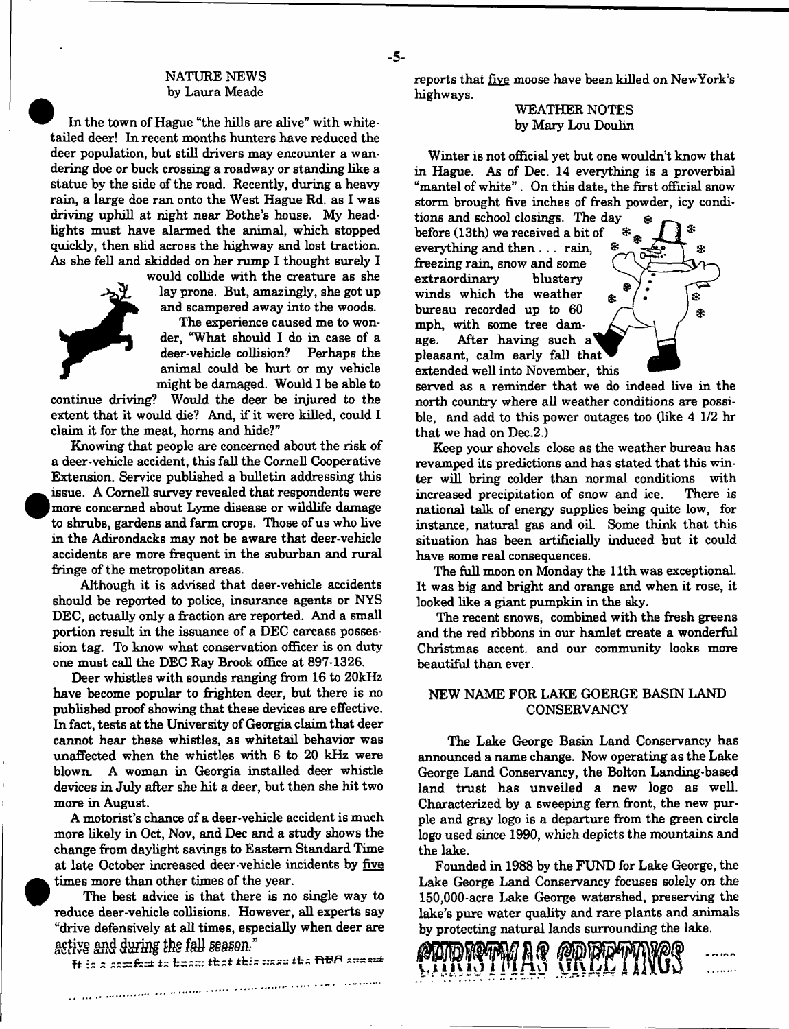# NATURE NEWS by Laura Meade

In the town of Hague "the hills are alive" with whitetailed deer! In recent months hunters have reduced the deer population, but still drivers may encounter a wandering doe or buck crossing a roadway or standing like a statue by the side of the road. Recently, during a heavy rain, a large doe ran onto the West Hague Rd. as I was driving uphill at night near Bothe's house. My headlights must have alarmed the animal, which stopped quickly, then slid across the highway and lost traction. As she fell and skidded on her rump I thought surely I



would collide with the creature as she lay prone. But, amazingly, she got up and scampered away into the woods.

The experience caused me to wonder, "What should I do in case of a deer-vehicle collision? Perhaps the animal could be hurt or my vehicle might be damaged. Would I be able to

continue driving? Would the deer be injured to the extent that it would die? And, if it were killed, could I claim it for the meat, horns and hide?"

Knowing that people are concerned about the risk of a deer-vehicle accident, this fall the Cornell Cooperative Extension. Service published a bulletin addressing this issue. A Cornell survey revealed that respondents were more concerned about Lyme disease or wildlife damage to shrubs, gardens and farm crops. Those of us who live in the Adirondacks may not be aware that deer-vehicle accidents are more frequent in the suburban and rural fringe of the metropolitan areas.

Although it is advised that deer-vehicle accidents should be reported to police, insurance agents or NYS DEC, actually only a fraction are reported. And a small portion result in the issuance of a DEC carcass possession tag. To know what conservation officer is on duty one must call the DEC Ray Brook office at 897-1326.

Deer whistles with sounds ranging from 16 to 20kHz have become popular to frighten deer, but there is no published proof showing that these devices are effective. In fact, tests at the University of Georgia claim that deer cannot hear these whistles, as whitetail behavior was unaffected when the whistles with 6 to 20 kHz were blown. A woman in Georgia installed deer whistle devices in July after she hit a deer, but then she hit two more in August.

A motorist's chance of a deer-vehicle accident is much more likely in Oct, Nov, and Dec and a study shows the change from daylight savings to Eastern Standard Time at late October increased deer-vehicle incidents by five times more than other times of the year.

The best advice is that there is no single way to reduce deer-vehicle collisions. However, all experts say "drive defensively at all times, especially when deer are active and during the fall season."

 ${\bf H}$  is a sembot to beam that this wasy the  ${\bf R}$ BA speak

a da la militario de malla città calla la calendaria che come come all'

reports that five moose have been killed on NewYork's highways.

# WEATHER NOTES by Mary Lou Doulin

Winter is not official yet but one wouldn't know that in Hague. As of Dec. 14 everything is a proverbial "mantel of white" . On this date, the first official snow storm brought five inches of fresh powder, icy condi-

tions and school closings. The day *&* before (13th) we received a bit of everything and then . . . rain, freezing rain, snow and some extraordinary blustery winds which the weather bureau recorded up to 60 mph, with some tree damage. After having such a pleasant, calm early fall that extended well into November, this

- 5-



served as a reminder that we do indeed live in the north country where all weather conditions are possible, and add to this power outages too (like 4 1/2 hr that we had on Dec.2.)

Keep your shovels close as the weather bureau has revamped its predictions and has stated that this winter will bring colder than normal conditions with increased precipitation of snow and ice. There is national talk of energy supplies being quite low, for instance, natural gas and oil. Some think that this situation has been artificially induced but it could have some real consequences.

The full moon on Monday the 11th was exceptional. It was big and bright and orange and when it rose, it looked like a giant pumpkin in the sky.

The recent snows, combined with the fresh greens and the red ribbons in our hamlet create a wonderful Christmas accent, and our community looks more beautiful than ever.

# NEW NAME FOR LAKE GOERGE BASIN LAND **CONSERVANCY**

The Lake George Basin Land Conservancy has announced a name change. Now operating as the Lake George Land Conservancy, the Bolton Landing-based land trust has unveiled a new logo as well. Characterized by a sweeping fern front, the new purple and gray logo is a departure from the green circle logo used since 1990, which depicts the mountains and the lake.

Founded in 1988 by the FUND for Lake George, the Lake George Land Conservancy focuses solely on the 150,000-acre Lake George watershed, preserving the lake's pure water quality and rare plants and animals by protecting natural lands surrounding the lake.

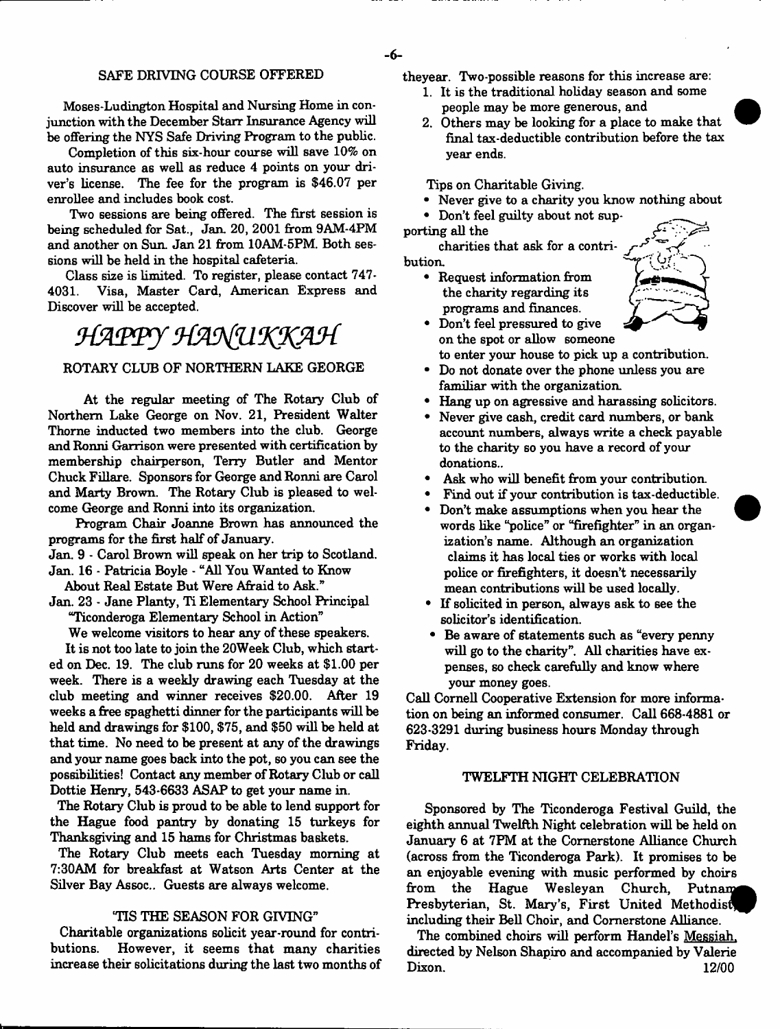#### SAFE DRIVING COURSE OFFERED

Moses-Ludington Hospital and Nursing Home in conjunction with the December Starr Insurance Agency will be offering the NYS Safe Driving Program to the public.

Completion of this six-hour course will save 10% on auto insurance as well as reduce 4 points on your driver's license. The fee for the program is \$46.07 per enrollee and includes book cost.

Two sessions are being offered. The first session is being scheduled for Sat., Jan. 20, 2001 from 9AM-4PM and another on Sun. Jan 21 from 10AM-5PM. Both sessions will be held in the hospital cafeteria.

Class size is limited. To register, please contact 747-4031. Visa, Master Card, American Express and Discover will be accepted.

# HAPPY HANUKKAH

#### ROTARY CLUB OF NORTHERN LAKE GEORGE

At the regular meeting of The Rotary Club of Northern Lake George on Nov. 21, President Walter Thorne inducted two members into the club. George and Ronni Garrison were presented with certification by membership chairperson, Terry Butler and Mentor Chuck Fillare. Sponsors for George and Ronni are Carol and Marty Brown. The Rotary Club is pleased to welcome George and Ronni into its organization.

Program Chair Joanne Brown has announced the programs for the first half of January.

Jan. 9 - Carol Brown will speak on her trip to Scotland. Jan. 16 - Patricia Boyle - "All You Wanted to Know

About Real Estate But Were Afraid to Ask."

Jan. 23 - Jane Planty, Ti Elementary School Principal "Ticonderoga Elementary School in Action"

We welcome visitors to hear any of these speakers.

It is not too late to join the 20Week Club, which started on Dec. 19. The club runs for 20 weeks at \$1.00 per week. There is a weekly drawing each Tuesday at the club meeting and winner receives \$20.00. After 19 weeks a free spaghetti dinner for the participants will be held and drawings for \$100, \$75, and \$50 will be held at that time. No need to be present at any of the drawings and your name goes back into the pot, so you can see the possibilities! Contact any member of Rotary Club or call Dottie Henry, 543-6633 ASAP to get your name in.

The Rotary Club is proud to be able to lend support for the Hague food pantry by donating 15 turkeys for Thanksgiving and 15 hams for Christmas baskets.

The Rotary Club meets each Tuesday morning at 7:30AM for breakfast at Watson Arts Center at the Silver Bay Assoc.. Guests are always welcome.

# 'TIS THE SEASON FOR GIVING"

Charitable organizations solicit year-round for contributions. However, it seems that many charities increase their solicitations during the last two months of theyear. Two-possible reasons for this increase are:

- 1. It is the traditional holiday season and some people may be more generous, and
- 2. Others may be looking for a place to make that final tax-deductible contribution before the tax year ends.

Tips on Charitable Giving.

- Never give to a charity you know nothing about
- Don't feel guilty about not supporting all the

charities that ask for a contribution.

• Request information from the charity regarding its programs and finances.



- Don't feel pressured to give on the spot or allow someone to enter your house to pick up a contribution.
- Do not donate over the phone unless you are familiar with the organization
- Hang up on agressive and harassing solicitors.
- Never give cash, credit card numbers, or bank account numbers, always write a check payable to the charity so you have a record of your donations..
- Ask who will benefit from your contribution.
- Find out if your contribution is tax-deductible.
- Don't make assumptions when you hear the words like "police" or "firefighter" in an organization's name. Although an organization claims it has local ties or works with local police or firefighters, it doesn't necessarily mean contributions will be used locally.
- If solicited in person, always ask to see the solicitor's identification.
- Be aware of statements such as "every penny will go to the charity". All charities have expenses, so check carefully and know where your money goes.

Call Cornell Cooperative Extension for more information on being an informed consumer. Call 668-4881 or 623-3291 during business hours Monday through Friday.

#### TWELFTH NIGHT CELEBRATION

Sponsored by The Ticonderoga Festival Guild, the eighth annual Twelfth Night celebration will be held on January 6 at 7FM at the Cornerstone Alliance Church (across from the Ticonderoga Park). It promises to be an enjoyable evening with music performed by choirs from the Hague Wesleyan Church, Putnam Presbyterian, St. Mary's, First United Methodist including their Bell Choir, and Cornerstone Alliance.

The combined choirs will perform Handel's Messiah. directed by Nelson Shapiro and accompanied by Valerie Dixon. 12/00

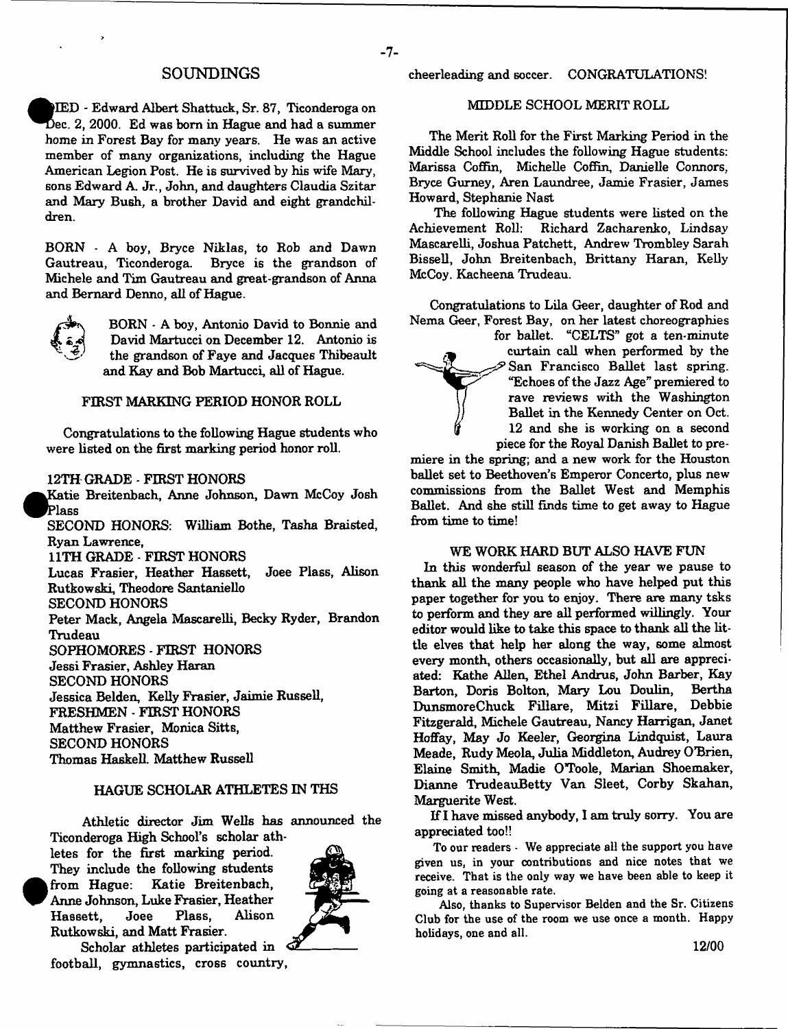#### **SOUNDINGS**

^ fe lE D - Edward Albert Shattuck, Sr. 87, Ticonderoga on Dec. 2, 2000. Ed was born in Hague and had a summer home in Forest Bay for many years. He was an active member of many organizations, including the Hague American Legion Post. He is survived by his wife Mary, sons Edward A. Jr., John, and daughters Claudia Szitar and Mary Bush, a brother David and eight grandchildren.

BORN - A boy, Bryce Niklas, to Rob and Dawn Gautreau, Ticonderoga. Bryce is the grandson of Michele and Tim Gautreau and great-grandson of Anna and Bernard Denno, all of Hague.



BORN - A boy, Antonio David to Bonnie and David Martucci on December 12. Antonio is the grandson of Faye and Jacques Thibeault and Kay and Bob Martucci, all of Hague.

#### FIRST MARKING PERIOD HONOR ROLL

Congratulations to the following Hague students who were listed on the first marking period honor roll.

#### 12TH GRADE - FIRST HONORS

Katie Breitenbach, Anne Johnson, Dawn McCoy Josh **^ 0P lass**

SECOND HONORS: William Bothe, Tasha Braisted, Ryan Lawrence,

11TH GRADE - FIRST HONORS

Lucas Frasier, Heather Hassett, Joee Plass, Alison Rutkowski, Theodore Santaniello SECOND HONORS Peter Mack, Angela Mascarelli, Becky Ryder, Brandon Trudeau SOPHOMORES - FIRST HONORS Jessi Frasier, Ashley Haran SECOND HONORS Jessica Belden, Kelly Frasier, Jaimie Russell,

FRESHMEN - FIRST HONORS

Matthew Frasier, Monica Sitts,

SECOND HONORS

Thomas Haskell. Matthew Russell

# HAGUE SCHOLAR ATHLETES IN THS

Athletic director Jim Wells has announced the Ticonderoga High School's scholar athletes for the first marking period. They include the following students <sup>•</sup> from Hague: Katie Breitenbach, Anne Johnson, Luke Frasier, Heather



Scholar athletes participated in  $\mathcal Q$ football, gymnastics, cross country,

Hassett, Joee Plass, Alison

Rutkowski, and Matt Frasier.

cheerleading and soccer. CONGRATULATIONS!

#### MIDDLE SCHOOL MERIT ROLL

The Merit Roll for the First Marking Period in the Middle School includes the following Hague students: Marissa Coffin, Michelle Coffin, Danielle Connors, Bryce Gurney, Aren Laundree, Jamie Frasier, James Howard, Stephanie Nast

The following Hague students were listed on the Achievement Roll: Richard Zacharenko, Lindsay Mascarelli, Joshua Patchett, Andrew Trombley Sarah Bissell, John Breitenbach, Brittany Haran, Kelly McCoy. Kacheena Trudeau.

Congratulations to Lila Geer, daughter of Rod and Nema Geer, Forest Bay, on her latest choreographies



for ballet. "CELTS" got a ten-minute » curtain call when performed by the San Francisco Ballet last spring. "Echoes of the Jazz Age" premiered to rave reviews with the Washington Ballet in the Kennedy Center on Oct. 12 and she is working on a second piece for the Royal Danish Ballet to pre-

miere in the spring; and a new work for the Houston ballet set to Beethoven's Emperor Concerto, plus new commissions from the Ballet West and Memphis Ballet. And she still finds time to get away to Hague from time to time!

### WE WORK HARD BUT ALSO HAVE FUN

In this wonderful season of the year we pause to thank all the many people who have helped put this paper together for you to enjoy. There are many tsks to perform and they are all performed willingly. Your editor would like to take this space to thank all the little elves that help her along the way, some almost every month, others occasionally, but all are appreciated: Kathe Allen, Ethel Andrus, John Barber, Kay Barton, Doris Bolton, Mary Lou Doulin, Bertha DunsmoreChuck Fillare, Mitzi Fillare, Debbie Fitzgerald, Michele Gautreau, Nancy Harrigan, Janet Hoffay, May Jo Keeler, Georgina Lindquist, Laura Meade, Rudy Meola, Julia Middleton, Audrey O'Brien, Elaine Smith, Madie O'Toole, Marian Shoemaker, Dianne TrudeauBetty Van Sleet, Corby Skahan, Marguerite West.

If I have missed anybody, I am truly sorry. You are appreciated too!!

To our readers - We appreciate all the support you have given us, in your contributions and nice notes that we receive. That is the only way we have been able to keep it going at a reasonable rate.

Also, thanks to Supervisor Belden and the Sr. Citizens Club for the use of the room we use once a month. Happy holidays, one and all.

- 7-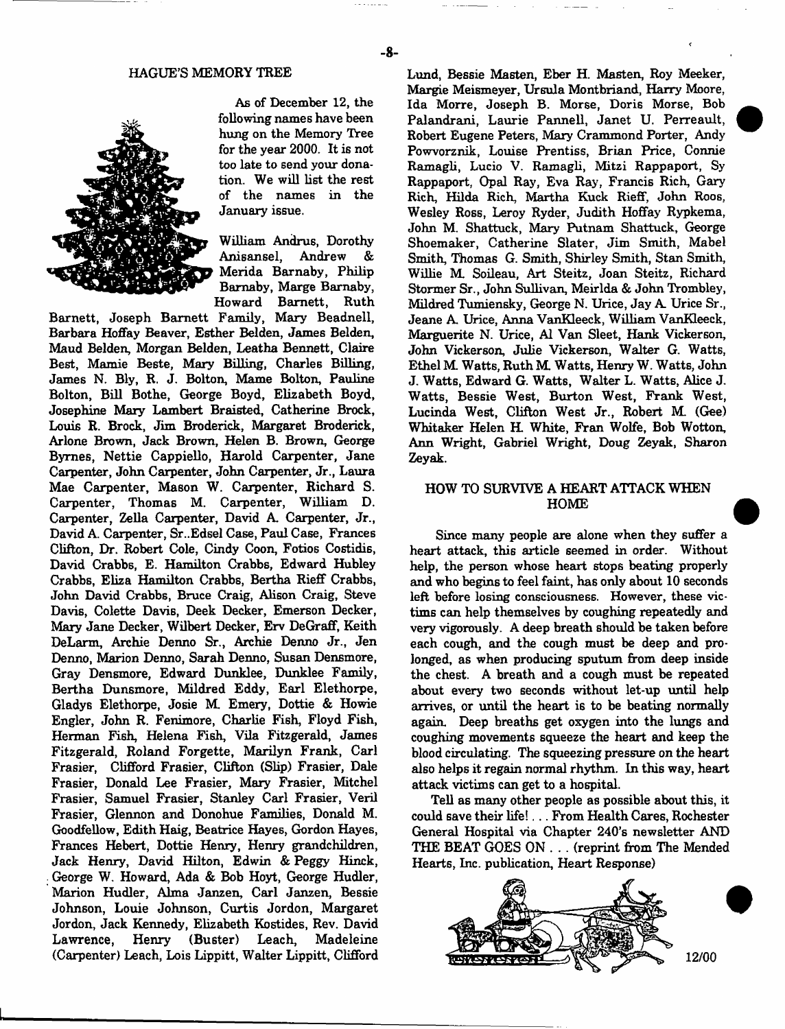#### HAGUE'S MEMORY TREE



As of December 12, the following names have been hung on the Memory Tree for the year 2000. It is not too late to send your donation. We will list the rest of the names in the January issue.

William Andrus, Dorothy Anisansel, Andrew & Merida Barnaby, Philip Bamaby, Marge Barnaby, Howard Barnett, Ruth

Barnett, Joseph Barnett Family, Mary Beadnell, Barbara Hoffay Beaver, Esther Belden, James Belden, Maud Belden, Morgan Belden, Leatha Bennett, Claire Best, Mamie Beste, Mary Billing, Charles Billing, James N. Bly, R. J. Bolton, Mame Bolton, Pauline Bolton, Bill Bothe, George Boyd, Elizabeth Boyd, Josephine Mary Lambert Braisted, Catherine Brock, Louis R. Brock, Jim Broderick, Margaret Broderick, Arlone Brown, Jack Brown, Helen B. Brown, George Byrnes, Nettie Cappiello, Harold Carpenter, Jane Carpenter, John Carpenter, John Carpenter, Jr., Laura Mae Carpenter, Mason W. Carpenter, Richard S. Carpenter, Thomas M. Carpenter, William D. Carpenter, Zella Carpenter, David A. Carpenter, Jr., David A. Carpenter, Sr..Edsel Case, Paul Case, Frances Clifton, Dr. Robert Cole, Cindy Coon, Fotios Costidis, David Crabbs, E. Hamilton Crabbs, Edward Hubley Crabbs, Eliza Hamilton Crabbs, Bertha Rieff Crabbs, John David Crabbs, Bruce Craig, Alison Craig, Steve Davis, Colette Davis, Deek Decker, Emerson Decker, Mary Jane Decker, Wilbert Decker, Erv DeGraff, Keith DeLarm, Archie Denno Sr., Archie Denno Jr., Jen Denno, Marion Denno, Sarah Denno, Susan Densmore, Gray Densmore, Edward Dunklee, Dunklee Family, Bertha Dunsmore, Mildred Eddy, Earl Elethorpe, Gladys Elethorpe, Josie M Emery, Dottie & Howie Engler, John R. Fenimore, Charlie Fish, Floyd Fish, Herman Fish, Helena Fish, Vila Fitzgerald, James Fitzgerald, Roland Forgette, Marilyn Frank, Carl Frasier, Clifford Frasier, Clifton (Slip) Frasier, Dale Frasier, Donald Lee Frasier, Mary Frasier, Mitchel Frasier, Samuel Frasier, Stanley Carl Frasier, Veril Frasier, Glennon and Donohue Families, Donald M. Goodfellow, Edith Haig, Beatrice Hayes, Gordon Hayes, Frances Hebert, Dottie Henry, Henry grandchildren, Jack Henry, David Hilton, Edwin & Peggy Hinck, George W. Howard, Ada & Bob Hoyt, George Hudler, Marion Hudler, Alma Janzen, Carl Janzen, Bessie Johnson, Louie Johnson, Curtis Jordon, M argaret Jordon, Jack Kennedy, Elizabeth Kostides, Rev. David Lawrence, Henry (Buster) Leach, Madeleine (Carpenter) Leach, Lois Lippitt, Walter Lippitt, Clifford Lund, Bessie Masten, Eber H. Masten, Roy Meeker, Margie Meismeyer, Ursula Montbriand, Harry Moore, Ida Morre, Joseph B. Morse, Doris Morse, Bob Palandrani, Laurie Pannell, Janet U. Perreault, Robert Eugene Peters, Mary Crammond Porter, Andy Powvorznik, Louise Prentiss, Brian Price, Connie Ramagli, Lucio V. Ramagli, Mitzi Rappaport, Sy Rappaport, Opal Ray, Eva Ray, Francis Rich, Gary Rich, Hilda Rich, Martha Kuck Rieff, John Roos, Wesley Ross, Leroy Ryder, Judith Hoffay Rypkema, John M. Shattuck, Mary Putnam Shattuck, George Shoemaker, Catherine Slater, Jim Smith, Mabel Smith, Thomas G. Smith, Shirley Smith, Stan Smith, Willie M. Soileau, Art Steitz, Joan Steitz, Richard Stormer Sr., John Sullivan, Meirlda & John Trombley, Mildred Tumiensky, George N. Urice, Jay A. Urice Sr., Jeane A. Urice, Anna VanKleeck, William VanKleeck, Marguerite N. Urice, A1 Van Sleet, Hank Vickerson, John Vickerson, Julie Vickerson, Walter G. Watts, Ethel M Watts, Ruth M Watts, Henry W. Watts, John J. Watts, Edward G. Watts, Walter L. Watts, Alice J. W atts, Bessie West, Burton West, Frank West, Lucinda West, Clifton West Jr., Robert M. (Gee) Whitaker Helen H. White, Fran Wolfe, Bob Wotton, Ann Wright, Gabriel Wright, Doug Zeyak, Sharon Zeyak.

# HOW TO SURVIVE A HEART ATTACK WHEN HOME

Since many people are alone when they suffer a heart attack, this article seemed in order. Without help, the person whose heart stops beating properly and who begins to feel faint, has only about 10 seconds left before losing consciousness. However, these victims can help themselves by coughing repeatedly and very vigorously. A deep breath should be taken before each cough, and the cough must be deep and prolonged, as when producing sputum from deep inside the chest. A breath and a cough must be repeated about every two seconds without let-up until help arrives, or until the heart is to be beating normally again Deep breaths get oxygen into the lungs and coughing movements squeeze the heart and keep the blood circulating. The squeezing pressure on the heart also helps it regain normal rhythm. In this way, heart attack victims can get to a hospital.

Tell as many other people as possible about this, it could save their life!... From Health Cares, Rochester General Hospital via Chapter 240's newsletter AND THE BEAT GOES ON . . . (reprint from The Mended Hearts, Inc. publication, Heart Response)



- 8-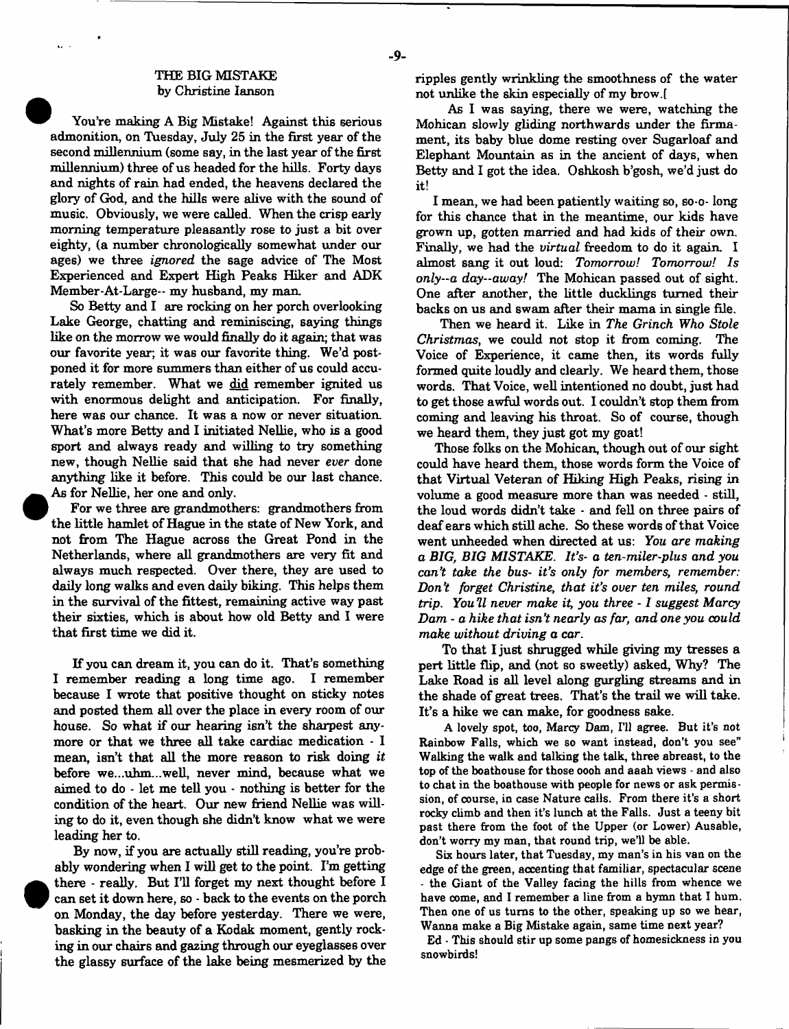#### THE BIG MISTAKE by Christine Ianson

ä.

You're making A Big Mistake! Against this serious admonition, on Tuesday, July 25 in the first year of the second millennium (some say, in the last year of the first millennium) three of us headed for the hills. Forty days and nights of rain had ended, the heavens declared the glory of God, and the hills were alive with the sound of music. Obviously, we were called. When the crisp early morning temperature pleasantly rose to just a bit over eighty, (a number chronologically somewhat under our ages) we three *ignored* the sage advice of The Most Experienced and Expert High Peaks Hiker and ADK Member-At-Large-- my husband, my man.

So Betty and I are rocking on her porch overlooking Lake George, chatting and reminiscing, saying things like on the morrow we would finally do it again; that was our favorite year; it was our favorite thing. We'd postponed it for more summers than either of us could accurately remember. What we did remember ignited us with enormous delight and anticipation. For finally, here was our chance. It was a now or never situation. What's more Betty and I initiated Nellie, who is a good sport and always ready and willing to try something new, though Nellie said that she had never *ever* done anything like it before. This could be our last chance. As for Nellie, her one and only.

For we three are grandmothers: grandmothers from the little hamlet of Hague in the state of New York, and not from The Hague across the Great Pond in the Netherlands, where all grandmothers are very fit and always much respected. Over there, they are used to daily long walks and even daily biking. This helps them in the survival of the fittest, remaining active way past their sixties, which is about how old Betty and I were that first time we did it.

If you can dream it, you can do it. That's something I remember reading a long time ago. I remember because I wrote that positive thought on sticky notes and posted them all over the place in every room of our house. So what if our hearing isn't the sharpest anymore or that we three all take cardiac medication - I mean, isn't that all the more reason to risk doing *it* before we...uhm...well, never mind, because what we aimed to do - let me tell you - nothing is better for the condition of the heart. Our new friend Nellie was willing to do it, even though she didn't know what we were leading her to.

By now, if you are actually still reading, you're probably wondering when I will get to the point. I'm getting there - really. But I'll forget my next thought before I can set it down here, so - back to the events on the porch on Monday, the day before yesterday. There we were, basking in the beauty of a Kodak moment, gently rocking in our chairs and gazing through our eyeglasses over the glassy surface of the lake being mesmerized by the ripples gently wrinkling the smoothness of the water not unlike the skin especially of my brow.f

As I was saying, there we were, watching the Mohican slowly gliding northwards under the firmament, its baby blue dome resting over Sugarloaf and Elephant Mountain as in the ancient of days, when Betty and I got the idea. Oshkosh b'gosh, we'd just do it!

I mean, we had been patiently waiting so, so-o- long for this chance that in the meantime, our kids have grown up, gotten married and had kids of their own. Finally, we had the *virtual* freedom to do it again. I almost sang it out loud: *Tomorrow! Tomorrow! Is only--a day—away!* The Mohican passed out of sight. One after another, the little ducklings turned their backs on us and swam after their mama in single file.

Then we heard it. Like in *The Grinch Who Stole Christmas*, we could not stop it from coming. The Voice of Experience, it came then, its words fully formed quite loudly and clearly. We heard them, those words. That Voice, well intentioned no doubt, just had to get those awful words out. I couldn't stop them from coming and leaving his throat. So of course, though we heard them, they just got my goat!

Those folks on the Mohican, though out of our sight could have heard them, those words form the Voice of that Virtual Veteran of Hiking High Peaks, rising in volume a good measure more than was needed - still, the loud words didn't take - and fell on three pairs of deaf ears which still ache. So these words of that Voice went unheeded when directed at us: *You are making a BIG, BIG MISTAKE. It's- a ten-miler-plus and you can't take the bus- it's only for members, remember: Don't forget Christine, that it's over ten miles, round trip. You'll never make it, you three - 1 suggest Marcy Dam - a hike that isn't nearly as far, and one you could make without driving a car.*

To that I just shrugged while giving my tresses a pert little flip, and (not so sweetly) asked, Why? The Lake Road is all level along gurgling streams and in the shade of great trees. That's the trail we will take. It's a hike we can make, for goodness sake.

A lovely spot, too, Marcy Dam, I'll agree. But it's not Rainbow Falls, which we so want instead, don't you see" Walking the walk and talking the talk, three abreast, to the top of the boathouse for those oooh and aaah views - and also to chat in the boathouse with people for news or ask permission, of course, in case Nature calls. From there it's a short rocky climb and then it's lunch at the Falls. Just a teeny bit past there from the foot of the Upper (or Lower) Ausable, don't worry my man, that round trip, we'll be able.

Six hours later, that Tuesday, my man's in his van on the edge of the green, accenting that familiar, spectacular scene - the Giant of the Valley facing the hills from whence we have come, and I remember a line from a hymn that I hum. Then one of us turns to the other, speaking up so we hear, Wanna make a Big Mistake again, same time next year?

Ed • This should stir up some pangs of homesickness in you snowbirds!